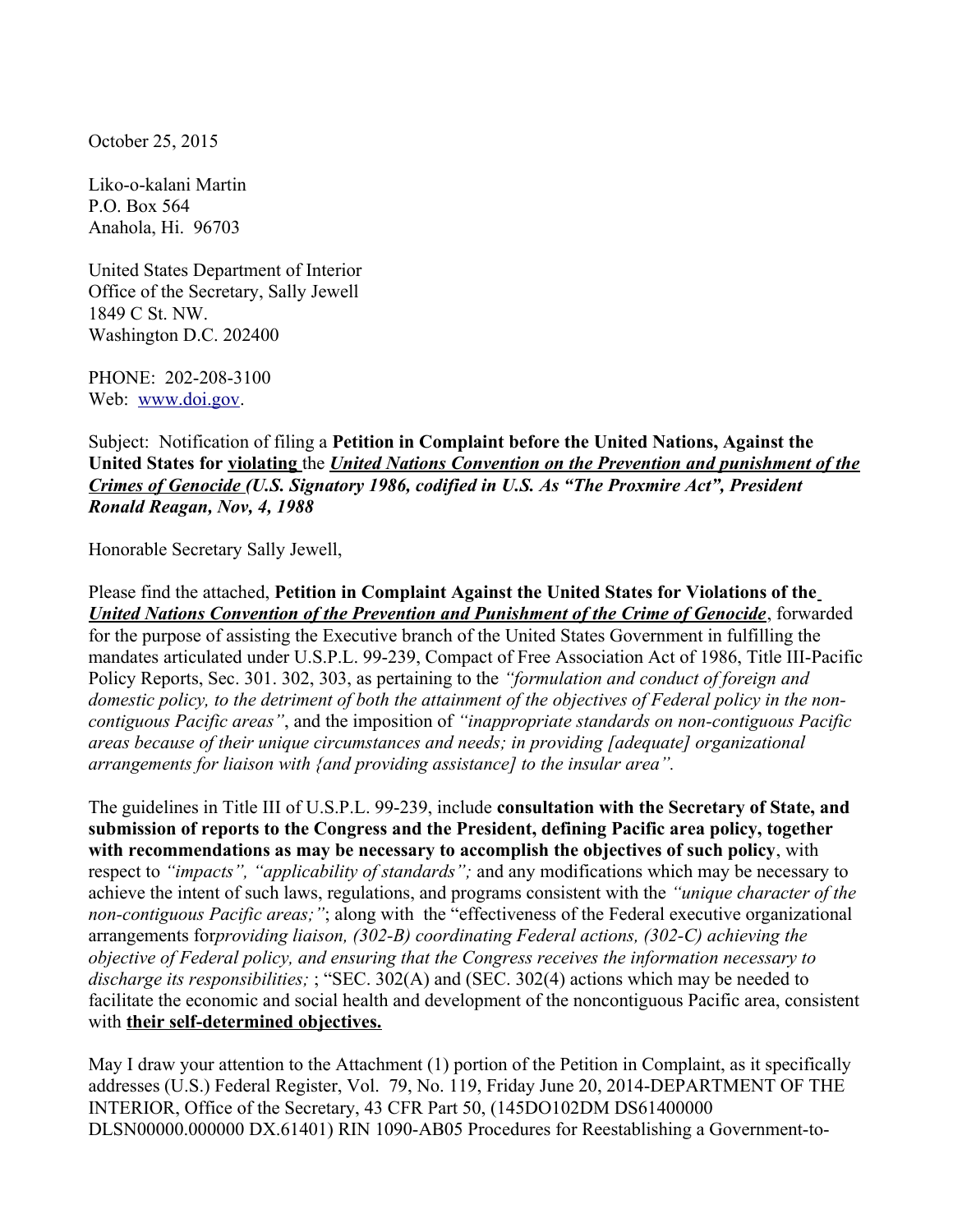October 25, 2015

Liko-o-kalani Martin P.O. Box 564 Anahola, Hi. 96703

United States Department of Interior Office of the Secretary, Sally Jewell 1849 C St. NW. Washington D.C. 202400

PHONE: 202-208-3100 Web: [www.doi.gov.](http://www.doi.gov/)

Subject: Notification of filing a **Petition in Complaint before the United Nations, Against the United States for violating** the *United Nations Convention on the Prevention and punishment of the Crimes of Genocide (U.S. Signatory 1986, codified in U.S. As "The Proxmire Act", President Ronald Reagan, Nov, 4, 1988*

Honorable Secretary Sally Jewell,

Please find the attached, **Petition in Complaint Against the United States for Violations of the** *United Nations Convention of the Prevention and Punishment of the Crime of Genocide*, forwarded for the purpose of assisting the Executive branch of the United States Government in fulfilling the mandates articulated under U.S.P.L. 99-239, Compact of Free Association Act of 1986, Title III-Pacific Policy Reports, Sec. 301. 302, 303, as pertaining to the *"formulation and conduct of foreign and domestic policy, to the detriment of both the attainment of the objectives of Federal policy in the noncontiguous Pacific areas"*, and the imposition of *"inappropriate standards on non-contiguous Pacific areas because of their unique circumstances and needs; in providing [adequate] organizational arrangements for liaison with {and providing assistance] to the insular area".*

The guidelines in Title III of U.S.P.L. 99-239, include **consultation with the Secretary of State, and submission of reports to the Congress and the President, defining Pacific area policy, together with recommendations as may be necessary to accomplish the objectives of such policy**, with respect to *"impacts", "applicability of standards";* and any modifications which may be necessary to achieve the intent of such laws, regulations, and programs consistent with the *"unique character of the non-contiguous Pacific areas;"*; along with the "effectiveness of the Federal executive organizational arrangements for*providing liaison, (302-B) coordinating Federal actions, (302-C) achieving the objective of Federal policy, and ensuring that the Congress receives the information necessary to discharge its responsibilities;* ; "SEC. 302(A) and (SEC. 302(4) actions which may be needed to facilitate the economic and social health and development of the noncontiguous Pacific area, consistent with **their self-determined objectives.**

May I draw your attention to the Attachment (1) portion of the Petition in Complaint, as it specifically addresses (U.S.) Federal Register, Vol. 79, No. 119, Friday June 20, 2014-DEPARTMENT OF THE INTERIOR, Office of the Secretary, 43 CFR Part 50, (145DO102DM DS61400000 DLSN00000.000000 DX.61401) RIN 1090-AB05 Procedures for Reestablishing a Government-to-